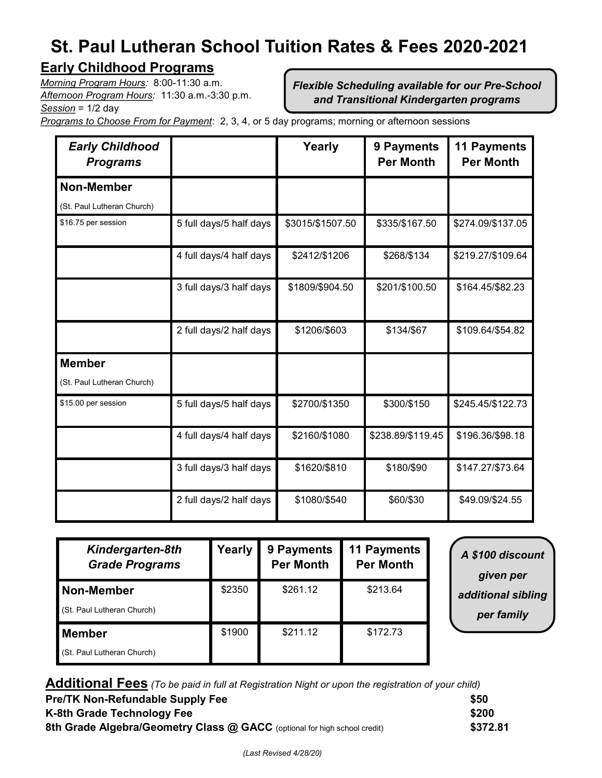# **St. Paul Lutheran School Tuition Rates & Fees 2020-2021**

## **Early Childhood Programs**

*Morning Program Hours:* 8:00-11:30 a.m. *Afternoon Program Hours:* 11:30 a.m.-3:30 p.m. *Session* = 1/2 day

*Flexible Scheduling available for our Pre-School and Transitional Kindergarten programs*

*Programs to Choose From for Payment*: 2, 3, 4, or 5 day programs; morning or afternoon sessions

| <b>Early Childhood</b><br><b>Programs</b> |                         | Yearly           | 9 Payments<br><b>Per Month</b> | <b>11 Payments</b><br><b>Per Month</b> |
|-------------------------------------------|-------------------------|------------------|--------------------------------|----------------------------------------|
| <b>Non-Member</b>                         |                         |                  |                                |                                        |
| (St. Paul Lutheran Church)                |                         |                  |                                |                                        |
| \$16.75 per session                       | 5 full days/5 half days | \$3015/\$1507.50 | \$335/\$167.50                 | \$274.09/\$137.05                      |
|                                           | 4 full days/4 half days | \$2412/\$1206    | \$268/\$134                    | \$219.27/\$109.64                      |
|                                           | 3 full days/3 half days | \$1809/\$904.50  | \$201/\$100.50                 | \$164.45/\$82.23                       |
|                                           | 2 full days/2 half days | \$1206/\$603     | \$134/\$67                     | \$109.64/\$54.82                       |
| <b>Member</b>                             |                         |                  |                                |                                        |
| (St. Paul Lutheran Church)                |                         |                  |                                |                                        |
| \$15.00 per session                       | 5 full days/5 half days | \$2700/\$1350    | \$300/\$150                    | \$245.45/\$122.73                      |
|                                           | 4 full days/4 half days | \$2160/\$1080    | \$238.89/\$119.45              | \$196.36/\$98.18                       |
|                                           | 3 full days/3 half days | \$1620/\$810     | \$180/\$90                     | \$147.27/\$73.64                       |
|                                           | 2 full days/2 half days | \$1080/\$540     | \$60/\$30                      | \$49.09/\$24.55                        |

| Kindergarten-8th<br><b>Grade Programs</b>   | Yearly | 9 Payments<br><b>Per Month</b> | <b>11 Payments</b><br><b>Per Month</b> |
|---------------------------------------------|--------|--------------------------------|----------------------------------------|
| Non-Member<br>(St. Paul Lutheran Church)    | \$2350 | \$261.12                       | \$213.64                               |
| <b>Member</b><br>(St. Paul Lutheran Church) | \$1900 | \$211.12                       | \$172.73                               |

*A \$100 discount given per additional sibling per family*

**Additional Fees** *(To be paid in full at Registration Night or upon the registration of your child)* **Pre/TK Non-Refundable Supply Fee \$50 K-8th Grade Technology Fee \$200 8th Grade Algebra/Geometry Class @ GACC** (optional for high school credit) **\$372.81**